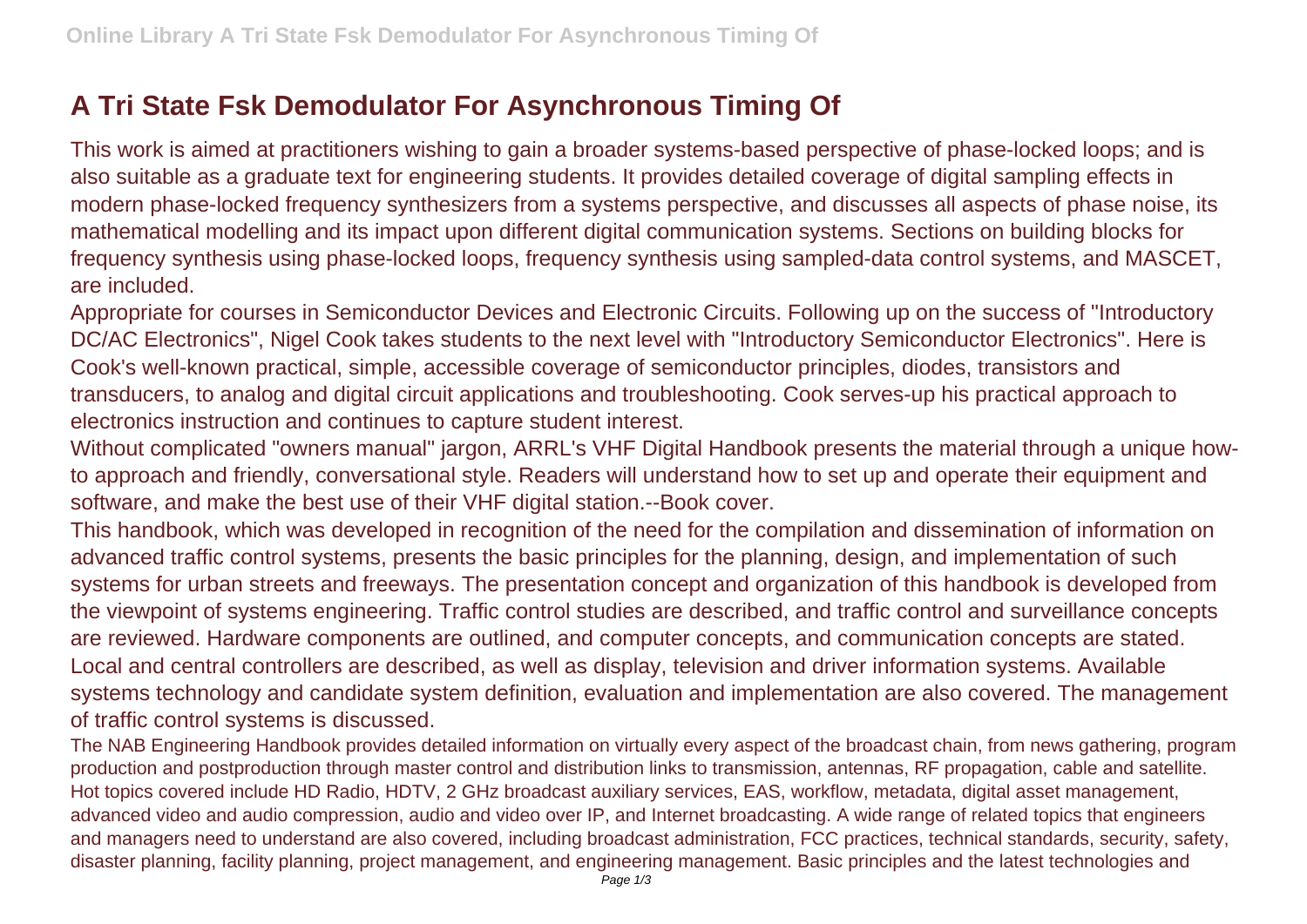## **A Tri State Fsk Demodulator For Asynchronous Timing Of**

This work is aimed at practitioners wishing to gain a broader systems-based perspective of phase-locked loops; and is also suitable as a graduate text for engineering students. It provides detailed coverage of digital sampling effects in modern phase-locked frequency synthesizers from a systems perspective, and discusses all aspects of phase noise, its mathematical modelling and its impact upon different digital communication systems. Sections on building blocks for frequency synthesis using phase-locked loops, frequency synthesis using sampled-data control systems, and MASCET, are included.

Appropriate for courses in Semiconductor Devices and Electronic Circuits. Following up on the success of "Introductory DC/AC Electronics", Nigel Cook takes students to the next level with "Introductory Semiconductor Electronics". Here is Cook's well-known practical, simple, accessible coverage of semiconductor principles, diodes, transistors and transducers, to analog and digital circuit applications and troubleshooting. Cook serves-up his practical approach to electronics instruction and continues to capture student interest.

Without complicated "owners manual" jargon, ARRL's VHF Digital Handbook presents the material through a unique howto approach and friendly, conversational style. Readers will understand how to set up and operate their equipment and software, and make the best use of their VHF digital station.--Book cover.

This handbook, which was developed in recognition of the need for the compilation and dissemination of information on advanced traffic control systems, presents the basic principles for the planning, design, and implementation of such systems for urban streets and freeways. The presentation concept and organization of this handbook is developed from the viewpoint of systems engineering. Traffic control studies are described, and traffic control and surveillance concepts are reviewed. Hardware components are outlined, and computer concepts, and communication concepts are stated. Local and central controllers are described, as well as display, television and driver information systems. Available systems technology and candidate system definition, evaluation and implementation are also covered. The management of traffic control systems is discussed.

The NAB Engineering Handbook provides detailed information on virtually every aspect of the broadcast chain, from news gathering, program production and postproduction through master control and distribution links to transmission, antennas, RF propagation, cable and satellite. Hot topics covered include HD Radio, HDTV, 2 GHz broadcast auxiliary services, EAS, workflow, metadata, digital asset management, advanced video and audio compression, audio and video over IP, and Internet broadcasting. A wide range of related topics that engineers and managers need to understand are also covered, including broadcast administration, FCC practices, technical standards, security, safety, disaster planning, facility planning, project management, and engineering management. Basic principles and the latest technologies and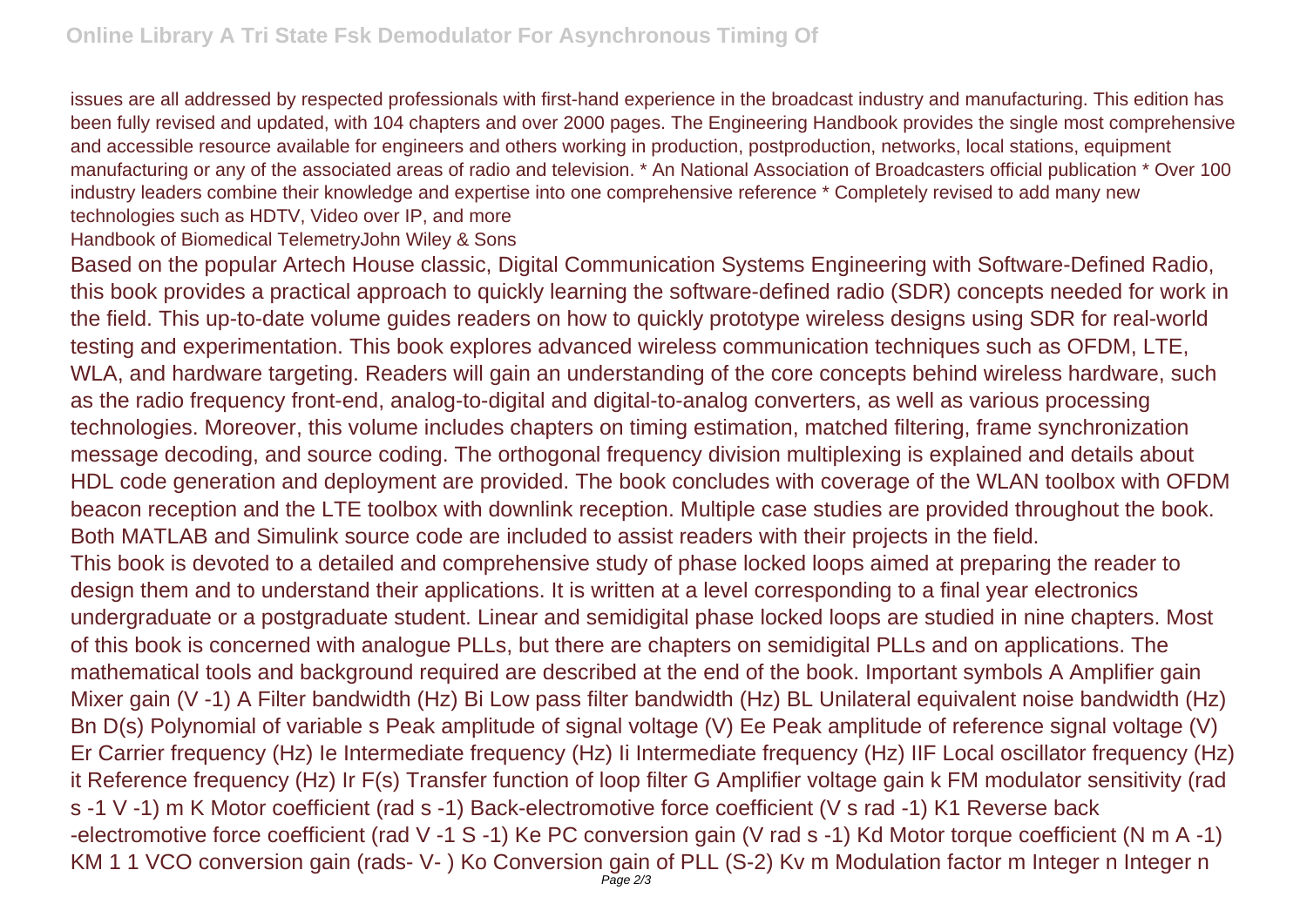issues are all addressed by respected professionals with first-hand experience in the broadcast industry and manufacturing. This edition has been fully revised and updated, with 104 chapters and over 2000 pages. The Engineering Handbook provides the single most comprehensive and accessible resource available for engineers and others working in production, postproduction, networks, local stations, equipment manufacturing or any of the associated areas of radio and television. \* An National Association of Broadcasters official publication \* Over 100 industry leaders combine their knowledge and expertise into one comprehensive reference \* Completely revised to add many new technologies such as HDTV, Video over IP, and more

Handbook of Biomedical TelemetryJohn Wiley & Sons

Based on the popular Artech House classic, Digital Communication Systems Engineering with Software-Defined Radio, this book provides a practical approach to quickly learning the software-defined radio (SDR) concepts needed for work in the field. This up-to-date volume guides readers on how to quickly prototype wireless designs using SDR for real-world testing and experimentation. This book explores advanced wireless communication techniques such as OFDM, LTE, WLA, and hardware targeting. Readers will gain an understanding of the core concepts behind wireless hardware, such as the radio frequency front-end, analog-to-digital and digital-to-analog converters, as well as various processing technologies. Moreover, this volume includes chapters on timing estimation, matched filtering, frame synchronization message decoding, and source coding. The orthogonal frequency division multiplexing is explained and details about HDL code generation and deployment are provided. The book concludes with coverage of the WLAN toolbox with OFDM beacon reception and the LTE toolbox with downlink reception. Multiple case studies are provided throughout the book. Both MATLAB and Simulink source code are included to assist readers with their projects in the field. This book is devoted to a detailed and comprehensive study of phase locked loops aimed at preparing the reader to design them and to understand their applications. It is written at a level corresponding to a final year electronics undergraduate or a postgraduate student. Linear and semidigital phase locked loops are studied in nine chapters. Most of this book is concerned with analogue PLLs, but there are chapters on semidigital PLLs and on applications. The mathematical tools and background required are described at the end of the book. Important symbols A Amplifier gain Mixer gain (V -1) A Filter bandwidth (Hz) Bi Low pass filter bandwidth (Hz) BL Unilateral equivalent noise bandwidth (Hz) Bn D(s) Polynomial of variable s Peak amplitude of signal voltage (V) Ee Peak amplitude of reference signal voltage (V) Er Carrier frequency (Hz) Ie Intermediate frequency (Hz) Ii Intermediate frequency (Hz) IIF Local oscillator frequency (Hz) it Reference frequency (Hz) Ir F(s) Transfer function of loop filter G Amplifier voltage gain k FM modulator sensitivity (rad s -1 V -1) m K Motor coefficient (rad s -1) Back-electromotive force coefficient (V s rad -1) K1 Reverse back -electromotive force coefficient (rad V -1 S -1) Ke PC conversion gain (V rad s -1) Kd Motor torque coefficient (N m A -1) KM 1 1 VCO conversion gain (rads- V- ) Ko Conversion gain of PLL (S-2) Kv m Modulation factor m Integer n Integer n Page 2/3